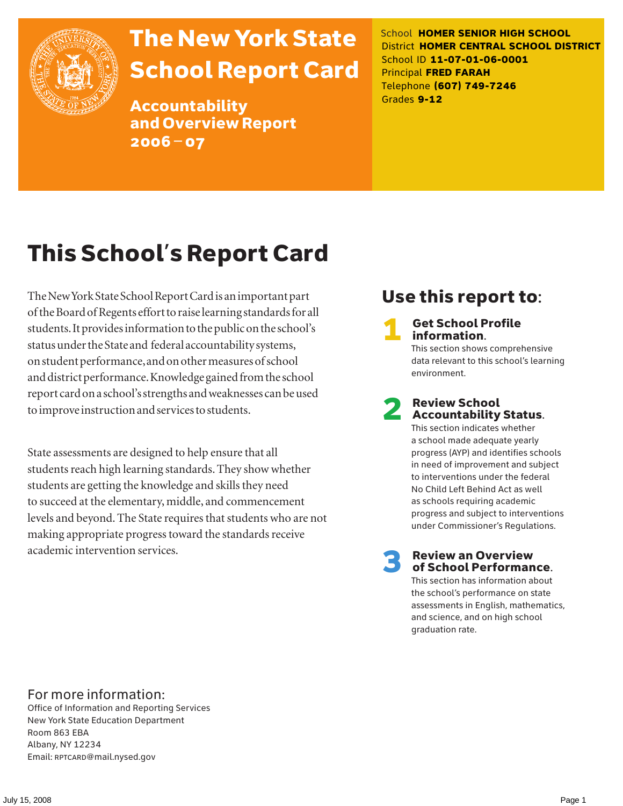

# The New York State School Report Card

Accountability and Overview Report 2006–07

School **HOMER SENIOR HIGH SCHOOL** District **HOMER CENTRAL SCHOOL DISTRICT** School ID **11-07-01-06-0001** Principal **FRED FARAH** Telephone **(607) 749-7246** Grades **9-12**

# This School's Report Card

The New York State School Report Card is an important part of the Board of Regents effort to raise learning standards for all students. It provides information to the public on the school's status under the State and federal accountability systems, on student performance, and on other measures of school and district performance. Knowledge gained from the school report card on a school's strengths and weaknesses can be used to improve instruction and services to students.

State assessments are designed to help ensure that all students reach high learning standards. They show whether students are getting the knowledge and skills they need to succeed at the elementary, middle, and commencement levels and beyond. The State requires that students who are not making appropriate progress toward the standards receive academic intervention services.

## Use this report to:

**Get School Profile** information.

This section shows comprehensive data relevant to this school's learning environment.

# 2 Review School Accountability Status.

This section indicates whether a school made adequate yearly progress (AYP) and identifies schools in need of improvement and subject to interventions under the federal No Child Left Behind Act as well as schools requiring academic progress and subject to interventions under Commissioner's Regulations.

**Review an Overview** of School Performance.

This section has information about the school's performance on state assessments in English, mathematics, and science, and on high school graduation rate.

### For more information:

Office of Information and Reporting Services New York State Education Department Room 863 EBA Albany, NY 12234 Email: RPTCARD@mail.nysed.gov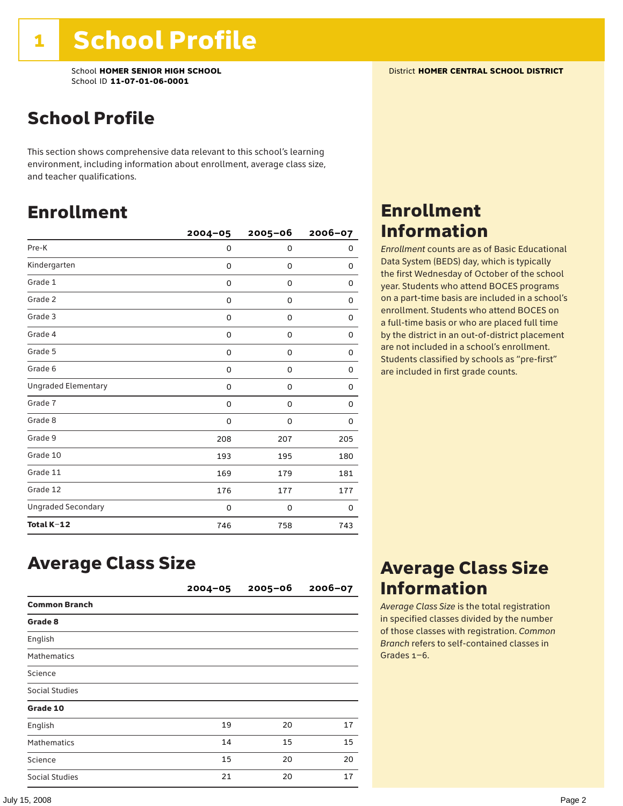School **HOMER SENIOR HIGH SCHOOL** District **HOMER CENTRAL SCHOOL DISTRICT** School ID **11-07-01-06-0001**

## School Profile

This section shows comprehensive data relevant to this school's learning environment, including information about enrollment, average class size, and teacher qualifications.

### Enrollment

|                            | $2004 - 05$ | $2005 - 06$ | 2006-07 |
|----------------------------|-------------|-------------|---------|
| Pre-K                      | 0           | 0           | 0       |
| Kindergarten               | 0           | $\mathbf 0$ | 0       |
| Grade 1                    | 0           | 0           | 0       |
| Grade 2                    | 0           | 0           | 0       |
| Grade 3                    | 0           | 0           | 0       |
| Grade 4                    | 0           | 0           | 0       |
| Grade 5                    | 0           | 0           | 0       |
| Grade 6                    | 0           | 0           | 0       |
| <b>Ungraded Elementary</b> | 0           | 0           | 0       |
| Grade 7                    | 0           | 0           | 0       |
| Grade 8                    | 0           | 0           | 0       |
| Grade 9                    | 208         | 207         | 205     |
| Grade 10                   | 193         | 195         | 180     |
| Grade 11                   | 169         | 179         | 181     |
| Grade 12                   | 176         | 177         | 177     |
| <b>Ungraded Secondary</b>  | 0           | 0           | 0       |
| Total K-12                 | 746         | 758         | 743     |

### Enrollment Information

*Enrollment* counts are as of Basic Educational Data System (BEDS) day, which is typically the first Wednesday of October of the school year. Students who attend BOCES programs on a part-time basis are included in a school's enrollment. Students who attend BOCES on a full-time basis or who are placed full time by the district in an out-of-district placement are not included in a school's enrollment. Students classified by schools as "pre-first" are included in first grade counts.

### Average Class Size

|                       | $2004 - 05$ | $2005 - 06$ | $2006 - 07$ |
|-----------------------|-------------|-------------|-------------|
| <b>Common Branch</b>  |             |             |             |
| Grade 8               |             |             |             |
| English               |             |             |             |
| <b>Mathematics</b>    |             |             |             |
| Science               |             |             |             |
| <b>Social Studies</b> |             |             |             |
| Grade 10              |             |             |             |
| English               | 19          | 20          | 17          |
| <b>Mathematics</b>    | 14          | 15          | 15          |
| Science               | 15          | 20          | 20          |
| Social Studies        | 21          | 20          | 17          |

### Average Class Size Information

*Average Class Size* is the total registration in specified classes divided by the number of those classes with registration. *Common Branch* refers to self-contained classes in Grades 1–6.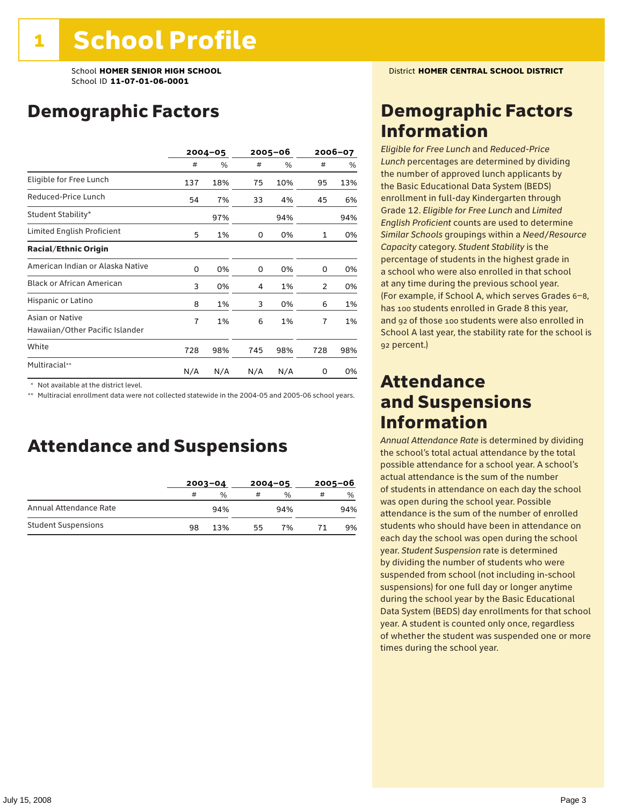## Demographic Factors

|                                                    | $2004 - 05$ |     | 2005–06 |     | 2006-07 |     |
|----------------------------------------------------|-------------|-----|---------|-----|---------|-----|
|                                                    | #           | %   | #       | %   | #       | %   |
| Eligible for Free Lunch                            | 137         | 18% | 75      | 10% | 95      | 13% |
| Reduced-Price Lunch                                | 54          | 7%  | 33      | 4%  | 45      | 6%  |
| Student Stability*                                 |             | 97% |         | 94% |         | 94% |
| Limited English Proficient                         | 5           | 1%  | 0       | 0%  | 1       | 0%  |
| <b>Racial/Ethnic Origin</b>                        |             |     |         |     |         |     |
| American Indian or Alaska Native                   | 0           | 0%  | 0       | 0%  | 0       | 0%  |
| <b>Black or African American</b>                   | 3           | 0%  | 4       | 1%  | 2       | 0%  |
| Hispanic or Latino                                 | 8           | 1%  | 3       | 0%  | 6       | 1%  |
| Asian or Native<br>Hawaiian/Other Pacific Islander | 7           | 1%  | 6       | 1%  | 7       | 1%  |
| White                                              | 728         | 98% | 745     | 98% | 728     | 98% |
| Multiracial**                                      | N/A         | N/A | N/A     | N/A | 0       | 0%  |

\* Not available at the district level.

\*\* Multiracial enrollment data were not collected statewide in the 2004-05 and 2005-06 school years.

### Attendance and Suspensions

|                            |    | $2003 - 04$ |    | $2004 - 05$   |   | $2005 - 06$   |  |
|----------------------------|----|-------------|----|---------------|---|---------------|--|
|                            | #  | %           | #  | $\frac{0}{0}$ | # | $\frac{0}{0}$ |  |
| Annual Attendance Rate     |    | 94%         |    | 94%           |   | 94%           |  |
| <b>Student Suspensions</b> | 98 | 13%         | 55 | 7%            |   | 9%            |  |

### Demographic Factors Information

*Eligible for Free Lunch* and *Reduced*-*Price Lunch* percentages are determined by dividing the number of approved lunch applicants by the Basic Educational Data System (BEDS) enrollment in full-day Kindergarten through Grade 12. *Eligible for Free Lunch* and *Limited English Proficient* counts are used to determine *Similar Schools* groupings within a *Need*/*Resource Capacity* category. *Student Stability* is the percentage of students in the highest grade in a school who were also enrolled in that school at any time during the previous school year. (For example, if School A, which serves Grades 6–8, has 100 students enrolled in Grade 8 this year, and 92 of those 100 students were also enrolled in School A last year, the stability rate for the school is 92 percent.)

### Attendance and Suspensions Information

*Annual Attendance Rate* is determined by dividing the school's total actual attendance by the total possible attendance for a school year. A school's actual attendance is the sum of the number of students in attendance on each day the school was open during the school year. Possible attendance is the sum of the number of enrolled students who should have been in attendance on each day the school was open during the school year. *Student Suspension* rate is determined by dividing the number of students who were suspended from school (not including in-school suspensions) for one full day or longer anytime during the school year by the Basic Educational Data System (BEDS) day enrollments for that school year. A student is counted only once, regardless of whether the student was suspended one or more times during the school year.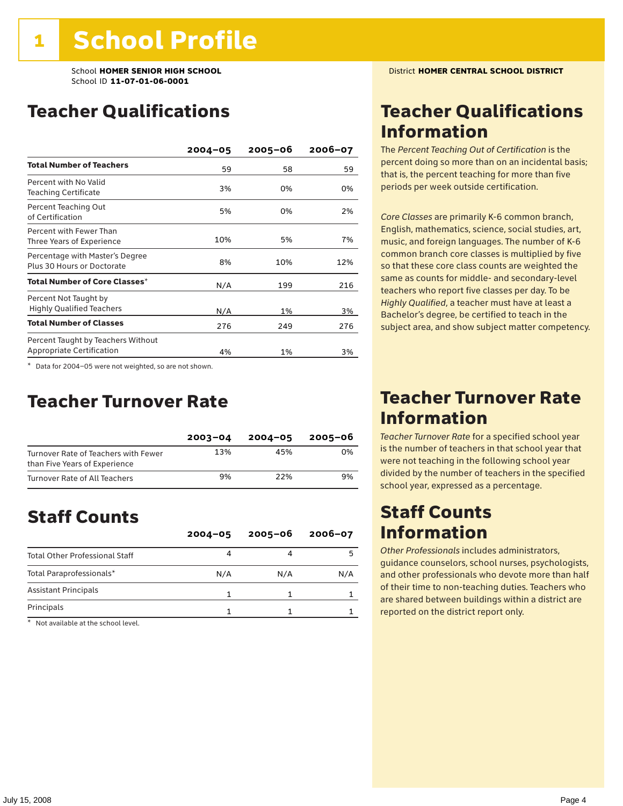### Teacher Qualifications

|                                                                        | $2004 - 05$ | $2005 - 06$ | 2006-07 |
|------------------------------------------------------------------------|-------------|-------------|---------|
| <b>Total Number of Teachers</b>                                        | 59          | 58          | 59      |
| Percent with No Valid<br><b>Teaching Certificate</b>                   | 3%          | 0%          | 0%      |
| Percent Teaching Out<br>of Certification                               | 5%          | 0%          | 2%      |
| Percent with Fewer Than<br>Three Years of Experience                   | 10%         | 5%          | 7%      |
| Percentage with Master's Degree<br>Plus 30 Hours or Doctorate          | 8%          | 10%         | 12%     |
| Total Number of Core Classes*                                          | N/A         | 199         | 216     |
| Percent Not Taught by<br><b>Highly Qualified Teachers</b>              | N/A         | 1%          | 3%      |
| <b>Total Number of Classes</b>                                         | 276         | 249         | 276     |
| Percent Taught by Teachers Without<br><b>Appropriate Certification</b> | 4%          | 1%          | 3%      |

\* Data for 2004–05 were not weighted, so are not shown.

### Teacher Turnover Rate

|                                                                       | $2003 - 04$ | $2004 - 05$ | 2005-06 |
|-----------------------------------------------------------------------|-------------|-------------|---------|
| Turnover Rate of Teachers with Fewer<br>than Five Years of Experience | 13%         | 45%         | 0%      |
| Turnover Rate of All Teachers                                         | 9%          | 22%         | 9%      |

## Staff Counts

|                                       | $2004 - 05$ | $2005 - 06$ | $2006 - 07$ |
|---------------------------------------|-------------|-------------|-------------|
| <b>Total Other Professional Staff</b> |             |             |             |
| Total Paraprofessionals*              | N/A         | N/A         | N/A         |
| <b>Assistant Principals</b>           |             |             |             |
| Principals                            |             |             |             |

\* Not available at the school level.

### Teacher Qualifications Information

The *Percent Teaching Out of Certification* is the percent doing so more than on an incidental basis; that is, the percent teaching for more than five periods per week outside certification.

*Core Classes* are primarily K-6 common branch, English, mathematics, science, social studies, art, music, and foreign languages. The number of K-6 common branch core classes is multiplied by five so that these core class counts are weighted the same as counts for middle- and secondary-level teachers who report five classes per day. To be *Highly Qualified*, a teacher must have at least a Bachelor's degree, be certified to teach in the subject area, and show subject matter competency.

### Teacher Turnover Rate Information

*Teacher Turnover Rate* for a specified school year is the number of teachers in that school year that were not teaching in the following school year divided by the number of teachers in the specified school year, expressed as a percentage.

### Staff Counts Information

*Other Professionals* includes administrators, guidance counselors, school nurses, psychologists, and other professionals who devote more than half of their time to non-teaching duties. Teachers who are shared between buildings within a district are reported on the district report only.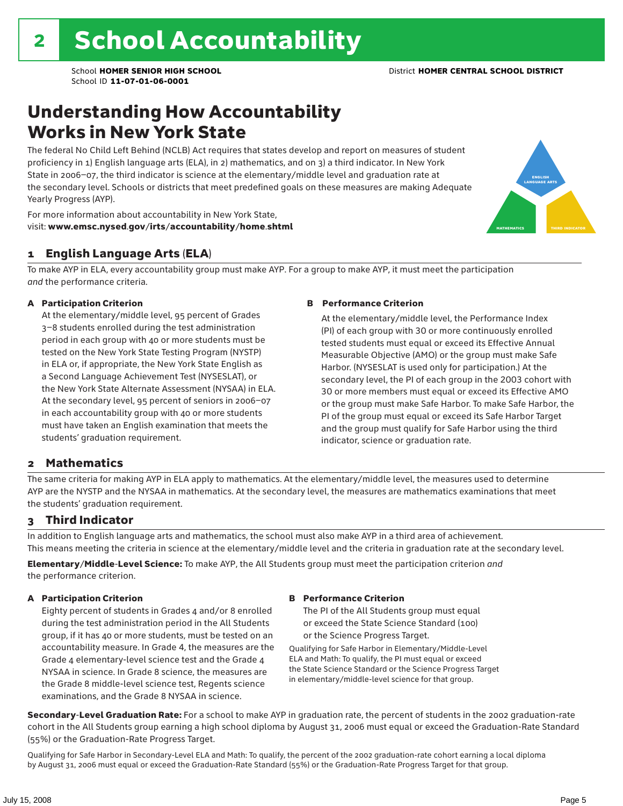### Understanding How Accountability Works in New York State

The federal No Child Left Behind (NCLB) Act requires that states develop and report on measures of student proficiency in 1) English language arts (ELA), in 2) mathematics, and on 3) a third indicator. In New York State in 2006–07, the third indicator is science at the elementary/middle level and graduation rate at the secondary level. Schools or districts that meet predefined goals on these measures are making Adequate Yearly Progress (AYP).



For more information about accountability in New York State, visit: www.emsc.nysed.gov/irts/accountability/home.shtml

#### 1 English Language Arts (ELA)

To make AYP in ELA, every accountability group must make AYP. For a group to make AYP, it must meet the participation *and* the performance criteria.

#### A Participation Criterion

At the elementary/middle level, 95 percent of Grades 3–8 students enrolled during the test administration period in each group with 40 or more students must be tested on the New York State Testing Program (NYSTP) in ELA or, if appropriate, the New York State English as a Second Language Achievement Test (NYSESLAT), or the New York State Alternate Assessment (NYSAA) in ELA. At the secondary level, 95 percent of seniors in 2006–07 in each accountability group with 40 or more students must have taken an English examination that meets the students' graduation requirement.

#### B Performance Criterion

At the elementary/middle level, the Performance Index (PI) of each group with 30 or more continuously enrolled tested students must equal or exceed its Effective Annual Measurable Objective (AMO) or the group must make Safe Harbor. (NYSESLAT is used only for participation.) At the secondary level, the PI of each group in the 2003 cohort with 30 or more members must equal or exceed its Effective AMO or the group must make Safe Harbor. To make Safe Harbor, the PI of the group must equal or exceed its Safe Harbor Target and the group must qualify for Safe Harbor using the third indicator, science or graduation rate.

#### 2 Mathematics

The same criteria for making AYP in ELA apply to mathematics. At the elementary/middle level, the measures used to determine AYP are the NYSTP and the NYSAA in mathematics. At the secondary level, the measures are mathematics examinations that meet the students' graduation requirement.

#### 3 Third Indicator

In addition to English language arts and mathematics, the school must also make AYP in a third area of achievement. This means meeting the criteria in science at the elementary/middle level and the criteria in graduation rate at the secondary level.

Elementary/Middle-Level Science: To make AYP, the All Students group must meet the participation criterion *and* the performance criterion.

#### A Participation Criterion

Eighty percent of students in Grades 4 and/or 8 enrolled during the test administration period in the All Students group, if it has 40 or more students, must be tested on an accountability measure. In Grade 4, the measures are the Grade 4 elementary-level science test and the Grade 4 NYSAA in science. In Grade 8 science, the measures are the Grade 8 middle-level science test, Regents science examinations, and the Grade 8 NYSAA in science.

#### B Performance Criterion

The PI of the All Students group must equal or exceed the State Science Standard (100) or the Science Progress Target.

Qualifying for Safe Harbor in Elementary/Middle-Level ELA and Math: To qualify, the PI must equal or exceed the State Science Standard or the Science Progress Target in elementary/middle-level science for that group.

Secondary-Level Graduation Rate: For a school to make AYP in graduation rate, the percent of students in the 2002 graduation-rate cohort in the All Students group earning a high school diploma by August 31, 2006 must equal or exceed the Graduation-Rate Standard (55%) or the Graduation-Rate Progress Target.

Qualifying for Safe Harbor in Secondary-Level ELA and Math: To qualify, the percent of the 2002 graduation-rate cohort earning a local diploma by August 31, 2006 must equal or exceed the Graduation-Rate Standard (55%) or the Graduation-Rate Progress Target for that group.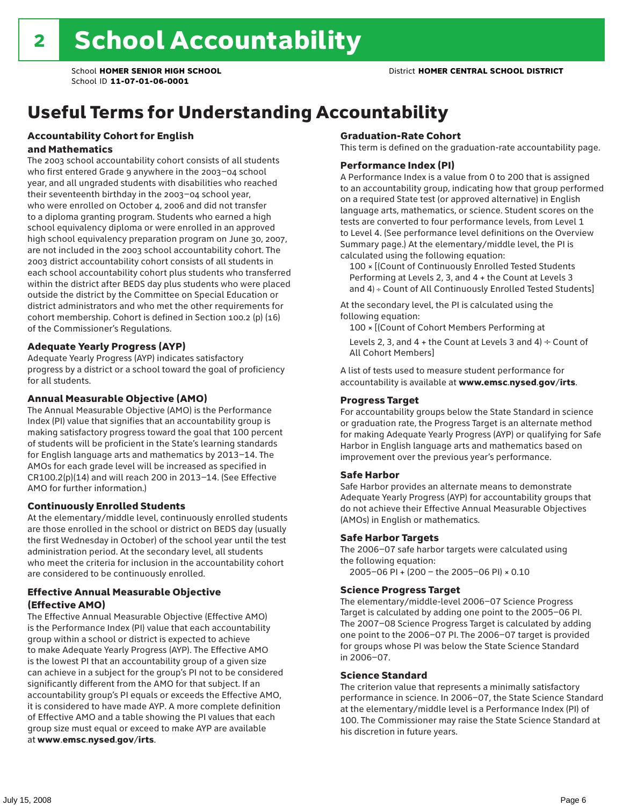## Useful Terms for Understanding Accountability

#### Accountability Cohort for English and Mathematics

The 2003 school accountability cohort consists of all students who first entered Grade 9 anywhere in the 2003–04 school year, and all ungraded students with disabilities who reached their seventeenth birthday in the 2003–04 school year, who were enrolled on October 4, 2006 and did not transfer to a diploma granting program. Students who earned a high school equivalency diploma or were enrolled in an approved high school equivalency preparation program on June 30, 2007, are not included in the 2003 school accountability cohort. The 2003 district accountability cohort consists of all students in each school accountability cohort plus students who transferred within the district after BEDS day plus students who were placed outside the district by the Committee on Special Education or district administrators and who met the other requirements for cohort membership. Cohort is defined in Section 100.2 (p) (16) of the Commissioner's Regulations.

#### Adequate Yearly Progress (AYP)

Adequate Yearly Progress (AYP) indicates satisfactory progress by a district or a school toward the goal of proficiency for all students.

#### Annual Measurable Objective (AMO)

The Annual Measurable Objective (AMO) is the Performance Index (PI) value that signifies that an accountability group is making satisfactory progress toward the goal that 100 percent of students will be proficient in the State's learning standards for English language arts and mathematics by 2013–14. The AMOs for each grade level will be increased as specified in CR100.2(p)(14) and will reach 200 in 2013–14. (See Effective AMO for further information.)

#### Continuously Enrolled Students

At the elementary/middle level, continuously enrolled students are those enrolled in the school or district on BEDS day (usually the first Wednesday in October) of the school year until the test administration period. At the secondary level, all students who meet the criteria for inclusion in the accountability cohort are considered to be continuously enrolled.

#### Effective Annual Measurable Objective (Effective AMO)

The Effective Annual Measurable Objective (Effective AMO) is the Performance Index (PI) value that each accountability group within a school or district is expected to achieve to make Adequate Yearly Progress (AYP). The Effective AMO is the lowest PI that an accountability group of a given size can achieve in a subject for the group's PI not to be considered significantly different from the AMO for that subject. If an accountability group's PI equals or exceeds the Effective AMO, it is considered to have made AYP. A more complete definition of Effective AMO and a table showing the PI values that each group size must equal or exceed to make AYP are available at www.emsc.nysed.gov/irts.

#### Graduation-Rate Cohort

This term is defined on the graduation-rate accountability page.

#### Performance Index (PI)

A Performance Index is a value from 0 to 200 that is assigned to an accountability group, indicating how that group performed on a required State test (or approved alternative) in English language arts, mathematics, or science. Student scores on the tests are converted to four performance levels, from Level 1 to Level 4. (See performance level definitions on the Overview Summary page.) At the elementary/middle level, the PI is calculated using the following equation:

100 × [(Count of Continuously Enrolled Tested Students Performing at Levels 2, 3, and 4 + the Count at Levels 3 and 4) ÷ Count of All Continuously Enrolled Tested Students]

At the secondary level, the PI is calculated using the following equation:

100 × [(Count of Cohort Members Performing at

Levels 2, 3, and 4 + the Count at Levels 3 and 4)  $\div$  Count of All Cohort Members]

A list of tests used to measure student performance for accountability is available at www.emsc.nysed.gov/irts.

#### Progress Target

For accountability groups below the State Standard in science or graduation rate, the Progress Target is an alternate method for making Adequate Yearly Progress (AYP) or qualifying for Safe Harbor in English language arts and mathematics based on improvement over the previous year's performance.

#### Safe Harbor

Safe Harbor provides an alternate means to demonstrate Adequate Yearly Progress (AYP) for accountability groups that do not achieve their Effective Annual Measurable Objectives (AMOs) in English or mathematics.

#### Safe Harbor Targets

The 2006–07 safe harbor targets were calculated using the following equation:

2005–06 PI + (200 – the 2005–06 PI) × 0.10

#### Science Progress Target

The elementary/middle-level 2006–07 Science Progress Target is calculated by adding one point to the 2005–06 PI. The 2007–08 Science Progress Target is calculated by adding one point to the 2006–07 PI. The 2006–07 target is provided for groups whose PI was below the State Science Standard in 2006–07.

#### Science Standard

The criterion value that represents a minimally satisfactory performance in science. In 2006–07, the State Science Standard at the elementary/middle level is a Performance Index (PI) of 100. The Commissioner may raise the State Science Standard at his discretion in future years.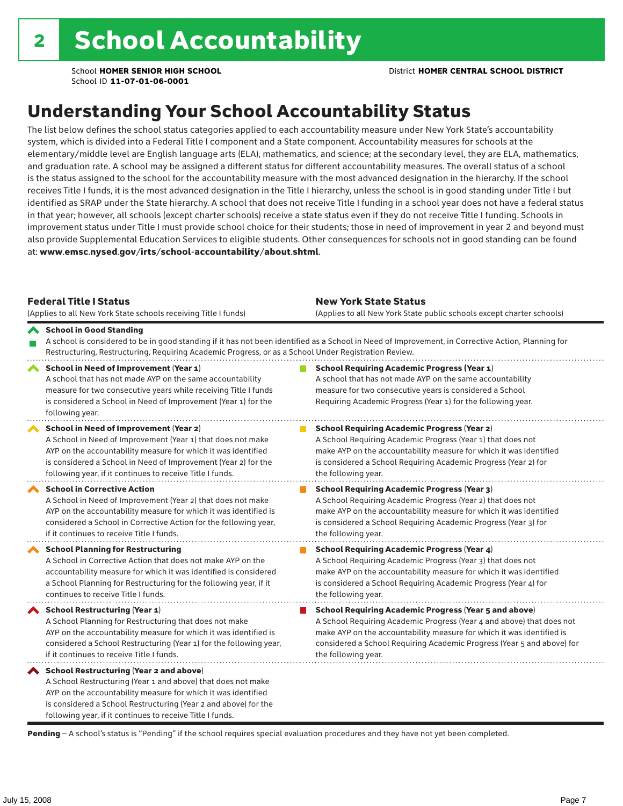## Understanding Your School Accountability Status

The list below defines the school status categories applied to each accountability measure under New York State's accountability system, which is divided into a Federal Title I component and a State component. Accountability measures for schools at the elementary/middle level are English language arts (ELA), mathematics, and science; at the secondary level, they are ELA, mathematics, and graduation rate. A school may be assigned a different status for different accountability measures. The overall status of a school is the status assigned to the school for the accountability measure with the most advanced designation in the hierarchy. If the school receives Title I funds, it is the most advanced designation in the Title I hierarchy, unless the school is in good standing under Title I but identified as SRAP under the State hierarchy. A school that does not receive Title I funding in a school year does not have a federal status in that year; however, all schools (except charter schools) receive a state status even if they do not receive Title I funding. Schools in improvement status under Title I must provide school choice for their students; those in need of improvement in year 2 and beyond must also provide Supplemental Education Services to eligible students. Other consequences for schools not in good standing can be found at: www.emsc.nysed.gov/irts/school-accountability/about.shtml.

| <b>Federal Title I Status</b><br>(Applies to all New York State schools receiving Title I funds)                                                                                                                                                                                                         | <b>New York State Status</b><br>(Applies to all New York State public schools except charter schools) |                                                                                                                                                                                                                                                                                                                 |  |  |  |
|----------------------------------------------------------------------------------------------------------------------------------------------------------------------------------------------------------------------------------------------------------------------------------------------------------|-------------------------------------------------------------------------------------------------------|-----------------------------------------------------------------------------------------------------------------------------------------------------------------------------------------------------------------------------------------------------------------------------------------------------------------|--|--|--|
| School in Good Standing<br>Restructuring, Restructuring, Requiring Academic Progress, or as a School Under Registration Review.                                                                                                                                                                          |                                                                                                       | A school is considered to be in good standing if it has not been identified as a School in Need of Improvement, in Corrective Action, Planning for                                                                                                                                                              |  |  |  |
| School in Need of Improvement (Year 1)<br>A school that has not made AYP on the same accountability<br>measure for two consecutive years while receiving Title I funds<br>is considered a School in Need of Improvement (Year 1) for the<br>following year.                                              |                                                                                                       | <b>School Requiring Academic Progress (Year 1)</b><br>A school that has not made AYP on the same accountability<br>measure for two consecutive years is considered a School<br>Requiring Academic Progress (Year 1) for the following year.                                                                     |  |  |  |
| School in Need of Improvement (Year 2)<br>A School in Need of Improvement (Year 1) that does not make<br>AYP on the accountability measure for which it was identified<br>is considered a School in Need of Improvement (Year 2) for the<br>following year, if it continues to receive Title I funds.    |                                                                                                       | <b>School Requiring Academic Progress (Year 2)</b><br>A School Requiring Academic Progress (Year 1) that does not<br>make AYP on the accountability measure for which it was identified<br>is considered a School Requiring Academic Progress (Year 2) for<br>the following year.                               |  |  |  |
| <b>School in Corrective Action</b><br>A School in Need of Improvement (Year 2) that does not make<br>AYP on the accountability measure for which it was identified is<br>considered a School in Corrective Action for the following year,<br>if it continues to receive Title I funds.                   |                                                                                                       | <b>School Requiring Academic Progress (Year 3)</b><br>A School Requiring Academic Progress (Year 2) that does not<br>make AYP on the accountability measure for which it was identified<br>is considered a School Requiring Academic Progress (Year 3) for<br>the following year.                               |  |  |  |
| <b>School Planning for Restructuring</b><br>A School in Corrective Action that does not make AYP on the<br>accountability measure for which it was identified is considered<br>a School Planning for Restructuring for the following year, if it<br>continues to receive Title I funds.                  |                                                                                                       | <b>School Requiring Academic Progress (Year 4)</b><br>A School Requiring Academic Progress (Year 3) that does not<br>make AYP on the accountability measure for which it was identified<br>is considered a School Requiring Academic Progress (Year 4) for<br>the following year.                               |  |  |  |
| <b>School Restructuring (Year 1)</b><br>A School Planning for Restructuring that does not make<br>AYP on the accountability measure for which it was identified is<br>considered a School Restructuring (Year 1) for the following year,<br>if it continues to receive Title I funds.                    |                                                                                                       | <b>School Requiring Academic Progress (Year 5 and above)</b><br>A School Requiring Academic Progress (Year 4 and above) that does not<br>make AYP on the accountability measure for which it was identified is<br>considered a School Requiring Academic Progress (Year 5 and above) for<br>the following year. |  |  |  |
| School Restructuring (Year 2 and above)<br>A School Restructuring (Year 1 and above) that does not make<br>AYP on the accountability measure for which it was identified<br>is considered a School Restructuring (Year 2 and above) for the<br>following year, if it continues to receive Title I funds. |                                                                                                       |                                                                                                                                                                                                                                                                                                                 |  |  |  |

Pending - A school's status is "Pending" if the school requires special evaluation procedures and they have not yet been completed.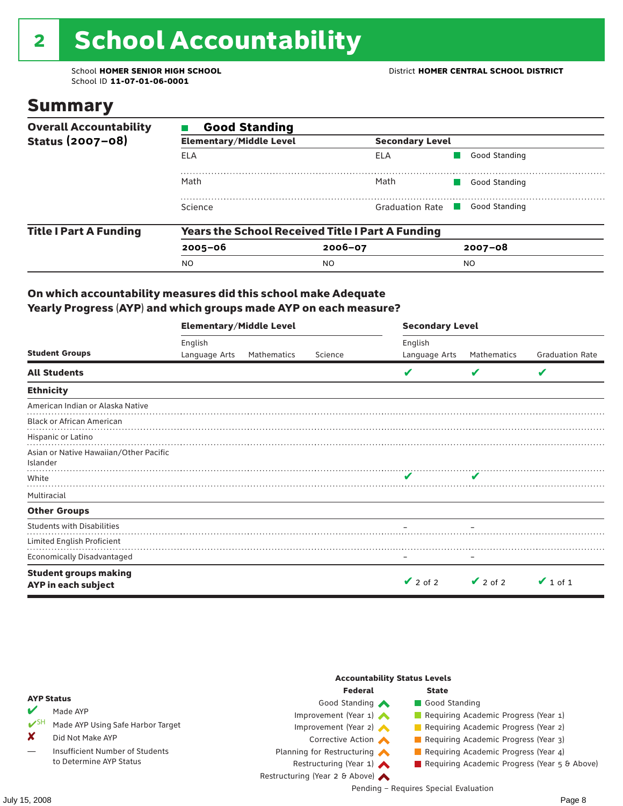# 2 School Accountability

School ID **11-07-01-06-0001**

### Summary

| <b>Overall Accountability</b> | <b>Good Standing</b>           |                                                         |               |  |  |  |  |  |
|-------------------------------|--------------------------------|---------------------------------------------------------|---------------|--|--|--|--|--|
| Status (2007-08)              | <b>Elementary/Middle Level</b> | <b>Secondary Level</b>                                  |               |  |  |  |  |  |
|                               | ELA                            | ELA                                                     | Good Standing |  |  |  |  |  |
|                               | Math                           | Math                                                    | Good Standing |  |  |  |  |  |
|                               | Science                        | Graduation Rate                                         | Good Standing |  |  |  |  |  |
| <b>Title I Part A Funding</b> |                                | <b>Years the School Received Title I Part A Funding</b> |               |  |  |  |  |  |
|                               | $2005 - 06$                    | $2006 - 07$                                             | $2007 - 08$   |  |  |  |  |  |
|                               | <b>NO</b>                      | NO.                                                     | <sub>NO</sub> |  |  |  |  |  |

#### On which accountability measures did this school make Adequate Yearly Progress (AYP) and which groups made AYP on each measure?

|                                                     | <b>Elementary/Middle Level</b> |             |         | <b>Secondary Level</b> |               |                        |  |  |
|-----------------------------------------------------|--------------------------------|-------------|---------|------------------------|---------------|------------------------|--|--|
|                                                     | English                        |             |         | English                |               |                        |  |  |
| <b>Student Groups</b>                               | Language Arts                  | Mathematics | Science | Language Arts          | Mathematics   | <b>Graduation Rate</b> |  |  |
| <b>All Students</b>                                 |                                |             |         |                        | v             | V                      |  |  |
| <b>Ethnicity</b>                                    |                                |             |         |                        |               |                        |  |  |
| American Indian or Alaska Native                    |                                |             |         |                        |               |                        |  |  |
| <b>Black or African American</b>                    |                                |             |         |                        |               |                        |  |  |
| Hispanic or Latino                                  |                                |             |         |                        |               |                        |  |  |
| Asian or Native Hawaiian/Other Pacific<br>Islander  |                                |             |         |                        |               |                        |  |  |
| White                                               |                                |             |         |                        |               |                        |  |  |
| Multiracial                                         |                                |             |         |                        |               |                        |  |  |
| <b>Other Groups</b>                                 |                                |             |         |                        |               |                        |  |  |
| <b>Students with Disabilities</b>                   |                                |             |         |                        |               |                        |  |  |
| Limited English Proficient                          |                                |             |         |                        |               |                        |  |  |
| <b>Economically Disadvantaged</b>                   |                                |             |         |                        |               |                        |  |  |
| <b>Student groups making</b><br>AYP in each subject |                                |             |         | $\vee$ 2 of 2          | $\vee$ 2 of 2 | $\vee$ 1 of 1          |  |  |

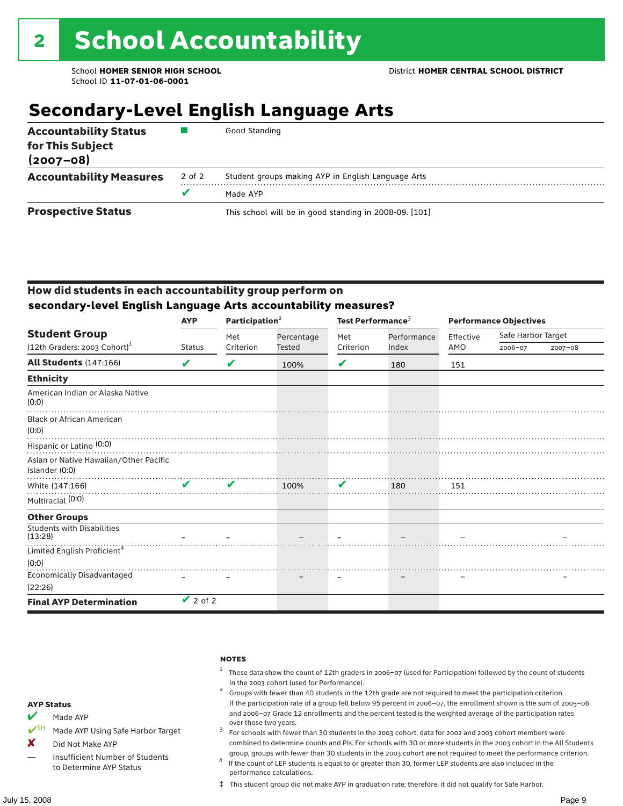## **Secondary-Level English Language Arts**

| <b>Accountability Status</b><br>for This Subject<br>$(2007 - 08)$ |        | Good Standing                                          |
|-------------------------------------------------------------------|--------|--------------------------------------------------------|
| <b>Accountability Measures</b>                                    | 2 of 2 | Student groups making AYP in English Language Arts     |
|                                                                   |        | Made AYP                                               |
| <b>Prospective Status</b>                                         |        | This school will be in good standing in 2008-09. [101] |

#### How did students in each accountability group perform on **secondary-level English Language Arts accountability measures?**

|                                                                    | <b>AYP</b>    | Participation $2$  |            |           | Test Performance <sup>3</sup> |           | <b>Performance Objectives</b> |         |  |
|--------------------------------------------------------------------|---------------|--------------------|------------|-----------|-------------------------------|-----------|-------------------------------|---------|--|
| <b>Student Group</b><br>$(12th$ Graders: 2003 Cohort) <sup>1</sup> |               | Met                | Percentage | Met       | Performance                   | Effective | Safe Harbor Target            |         |  |
|                                                                    | <b>Status</b> | Criterion          | Tested     | Criterion | Index                         | AMO       | 2006-07                       | 2007-08 |  |
| <b>All Students (147:166)</b>                                      | V             | V                  | 100%       | V         | 180                           | 151       |                               |         |  |
| <b>Ethnicity</b>                                                   |               |                    |            |           |                               |           |                               |         |  |
| American Indian or Alaska Native<br>(0:0)                          |               |                    |            |           |                               |           |                               |         |  |
| <b>Black or African American</b><br>(0:0)                          |               |                    |            |           |                               |           |                               |         |  |
| Hispanic or Latino <sup>(0:0)</sup>                                |               |                    |            |           |                               |           |                               |         |  |
| Asian or Native Hawaiian/Other Pacific<br>Islander (0:0)           |               |                    |            |           |                               |           |                               |         |  |
| White (147:166)                                                    |               | $\boldsymbol{\nu}$ | 100%       | V         | 180                           | 151       |                               |         |  |
| Multiracial (0:0)                                                  |               |                    |            |           |                               |           |                               |         |  |
| <b>Other Groups</b>                                                |               |                    |            |           |                               |           |                               |         |  |
| <b>Students with Disabilities</b><br>(13:28)                       |               |                    |            |           |                               |           |                               |         |  |
| Limited English Proficient <sup>4</sup>                            |               |                    |            |           |                               |           |                               |         |  |
| (0:0)                                                              |               |                    |            |           |                               |           |                               |         |  |
| Economically Disadvantaged                                         |               |                    |            |           |                               |           |                               |         |  |
| (22:26)                                                            |               |                    |            |           |                               |           |                               |         |  |
| <b>Final AYP Determination</b>                                     | $\vee$ 2 of 2 |                    |            |           |                               |           |                               |         |  |

#### notes

- <sup>1</sup> These data show the count of 12th graders in 2006–07 (used for Participation) followed by the count of students
- in the 2003 cohort (used for Performance).<br><sup>2</sup> Groups with fewer than 40 students in the 12th grade are not required to meet the participation criterion. If the participation rate of a group fell below 95 percent in 2006–07, the enrollment shown is the sum of 2005–06 and 2006–07 Grade 12 enrollments and the percent tested is the weighted average of the participation rates
- over those two years.  $^3$  For schools with fewer than 30 students in the 2003 cohort, data for 2002 and 2003 cohort members were combined to determine counts and PIs. For schools with 30 or more students in the 2003 cohort in the All Students
- group, groups with fewer than 30 students in the 2003 cohort are not required to meet the performance criterion. <sup>4</sup> If the count of LEP students is equal to or greater than 30, former LEP students are also included in the performance calculations.
- ‡ This student group did not make AYP in graduation rate; therefore, it did not qualify for Safe Harbor.
- $M$  Made AYP
- ◆ SH Made AYP Using Safe Harbor Target
- X Did Not Make AYP
- Insufficient Number of Students to Determine AYP Status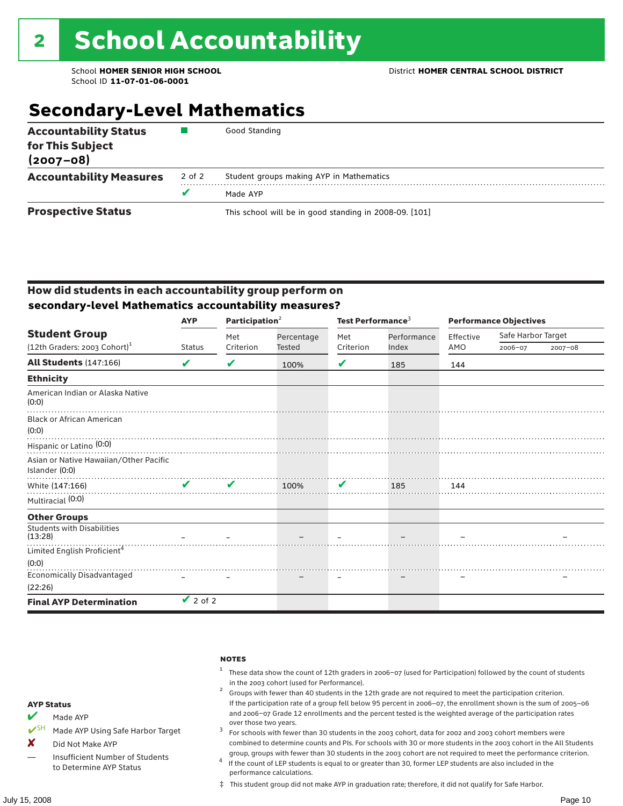## **Secondary-Level Mathematics**

| <b>Accountability Status</b><br>for This Subject<br>$(2007 - 08)$ |        | Good Standing                                          |
|-------------------------------------------------------------------|--------|--------------------------------------------------------|
| <b>Accountability Measures</b>                                    | 2 of 2 | Student groups making AYP in Mathematics               |
|                                                                   |        | Made AYP                                               |
| <b>Prospective Status</b>                                         |        | This school will be in good standing in 2008-09. [101] |

#### How did students in each accountability group perform on **secondary-level Mathematics accountability measures?**

|                                                          | <b>AYP</b>         | Participation $2$ |            | Test Performance <sup>3</sup> |             | <b>Performance Objectives</b> |                    |             |
|----------------------------------------------------------|--------------------|-------------------|------------|-------------------------------|-------------|-------------------------------|--------------------|-------------|
| <b>Student Group</b>                                     |                    | Met               | Percentage | Met                           | Performance | Effective                     | Safe Harbor Target |             |
| $(12th$ Graders: 2003 Cohort) <sup>1</sup>               | <b>Status</b>      | Criterion         | Tested     | Criterion                     | Index       | AMO                           | 2006-07            | $2007 - 08$ |
| All Students (147:166)                                   | V                  | V                 | 100%       | V                             | 185         | 144                           |                    |             |
| <b>Ethnicity</b>                                         |                    |                   |            |                               |             |                               |                    |             |
| American Indian or Alaska Native<br>(0:0)                |                    |                   |            |                               |             |                               |                    |             |
| <b>Black or African American</b><br>(0:0)                |                    |                   |            |                               |             |                               |                    |             |
| Hispanic or Latino <sup>(0:0)</sup>                      |                    |                   |            |                               |             |                               |                    |             |
| Asian or Native Hawaiian/Other Pacific<br>Islander (0:0) |                    |                   |            |                               |             |                               |                    |             |
| White (147:166)                                          | $\boldsymbol{\nu}$ | V                 | 100%       | V                             | 185         | 144                           |                    |             |
| Multiracial (0:0)                                        |                    |                   |            |                               |             |                               |                    |             |
| <b>Other Groups</b>                                      |                    |                   |            |                               |             |                               |                    |             |
| <b>Students with Disabilities</b><br>(13:28)             |                    |                   |            |                               |             |                               |                    |             |
| Limited English Proficient <sup>4</sup>                  |                    |                   |            |                               |             |                               |                    |             |
| (0:0)                                                    |                    |                   |            |                               |             |                               |                    |             |
| <b>Economically Disadvantaged</b>                        |                    |                   |            |                               |             |                               |                    |             |
| (22:26)                                                  |                    |                   |            |                               |             |                               |                    |             |
| <b>Final AYP Determination</b>                           | $\vee$ 2 of 2      |                   |            |                               |             |                               |                    |             |

#### **NOTES**

- <sup>1</sup> These data show the count of 12th graders in 2006–07 (used for Participation) followed by the count of students
- in the 2003 cohort (used for Performance).<br><sup>2</sup> Groups with fewer than 40 students in the 12th grade are not required to meet the participation criterion. If the participation rate of a group fell below 95 percent in 2006–07, the enrollment shown is the sum of 2005–06 and 2006–07 Grade 12 enrollments and the percent tested is the weighted average of the participation rates
- over those two years.  $^3$  For schools with fewer than 30 students in the 2003 cohort, data for 2002 and 2003 cohort members were combined to determine counts and PIs. For schools with 30 or more students in the 2003 cohort in the All Students
- group, groups with fewer than 30 students in the 2003 cohort are not required to meet the performance criterion. <sup>4</sup> If the count of LEP students is equal to or greater than 30, former LEP students are also included in the performance calculations.
- ‡ This student group did not make AYP in graduation rate; therefore, it did not qualify for Safe Harbor.
- $M$  Made AYP
- ◆ SH Made AYP Using Safe Harbor Target
- X Did Not Make AYP
- Insufficient Number of Students to Determine AYP Status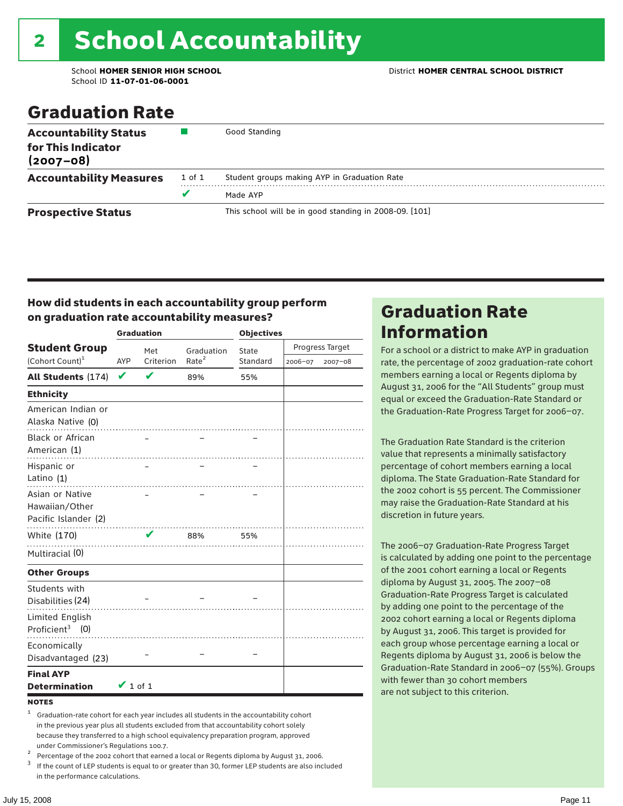School ID **11-07-01-06-0001**

### Graduation Rate

| <b>Accountability Status</b><br>for This Indicator<br>$(2007 - 08)$ |        | Good Standing                                          |
|---------------------------------------------------------------------|--------|--------------------------------------------------------|
| <b>Accountability Measures</b>                                      | 1 of 1 | Student groups making AYP in Graduation Rate           |
|                                                                     | v      | Made AYP                                               |
| <b>Prospective Status</b>                                           |        | This school will be in good standing in 2008-09. [101] |

#### How did students in each accountability group perform on graduation rate accountability measures?

|                                                           |               | <b>Graduation</b> |                   | <b>Objectives</b> |         |                 |  |
|-----------------------------------------------------------|---------------|-------------------|-------------------|-------------------|---------|-----------------|--|
| <b>Student Group</b>                                      |               | Met               | Graduation        | State             |         | Progress Target |  |
| (Cohort Count) <sup>1</sup>                               | AYP           | Criterion         | Rate <sup>2</sup> | Standard          | 2006-07 | 2007-08         |  |
| <b>All Students (174)</b>                                 | $\checkmark$  | V                 | 89%               | 55%               |         |                 |  |
| <b>Ethnicity</b>                                          |               |                   |                   |                   |         |                 |  |
| American Indian or<br>Alaska Native (0)                   |               |                   |                   |                   |         |                 |  |
| Black or African<br>American (1)                          |               |                   |                   |                   |         |                 |  |
| Hispanic or<br>Latino (1)                                 |               |                   |                   |                   |         |                 |  |
| Asian or Native<br>Hawaiian/Other<br>Pacific Islander (2) |               |                   |                   |                   |         |                 |  |
| White (170)                                               |               | $\mathbf{v}$      | 88%               | 55%               |         |                 |  |
| Multiracial (0)                                           |               |                   |                   |                   |         |                 |  |
| <b>Other Groups</b>                                       |               |                   |                   |                   |         |                 |  |
| Students with<br>Disabilities (24)                        |               |                   |                   |                   |         |                 |  |
| <b>Limited English</b><br>Proficient <sup>3</sup> $(0)$   |               |                   |                   |                   |         |                 |  |
| Economically<br>Disadvantaged (23)                        |               |                   |                   |                   |         |                 |  |
| <b>Final AYP</b><br><b>Determination</b>                  | $\vee$ 1 of 1 |                   |                   |                   |         |                 |  |

#### **NOTES**

<sup>1</sup> Graduation-rate cohort for each year includes all students in the accountability cohort in the previous year plus all students excluded from that accountability cohort solely because they transferred to a high school equivalency preparation program, approved

under Commissioner's Regulations 100.7.<br>
Percentage of the 2002 cohort that earned a local or Regents diploma by August 31, 2006.<br>
If the count of LEP students is equal to or greater than 30, former LEP students are also in the performance calculations.

### Graduation Rate Information

For a school or a district to make AYP in graduation rate, the percentage of 2002 graduation-rate cohort members earning a local or Regents diploma by August 31, 2006 for the "All Students" group must equal or exceed the Graduation-Rate Standard or the Graduation-Rate Progress Target for 2006–07.

The Graduation Rate Standard is the criterion value that represents a minimally satisfactory percentage of cohort members earning a local diploma. The State Graduation-Rate Standard for the 2002 cohort is 55 percent. The Commissioner may raise the Graduation-Rate Standard at his discretion in future years.

The 2006–07 Graduation-Rate Progress Target is calculated by adding one point to the percentage of the 2001 cohort earning a local or Regents diploma by August 31, 2005. The 2007–08 Graduation-Rate Progress Target is calculated by adding one point to the percentage of the 2002 cohort earning a local or Regents diploma by August 31, 2006. This target is provided for each group whose percentage earning a local or Regents diploma by August 31, 2006 is below the Graduation-Rate Standard in 2006–07 (55%). Groups with fewer than 30 cohort members are not subject to this criterion.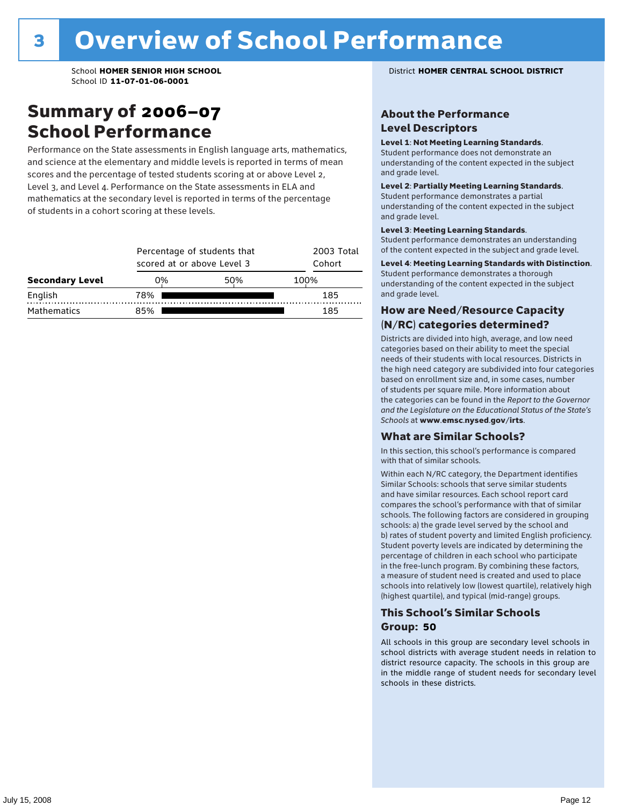### Summary of 2006–07 School Performance

Performance on the State assessments in English language arts, mathematics, and science at the elementary and middle levels is reported in terms of mean scores and the percentage of tested students scoring at or above Level 2, Level 3, and Level 4. Performance on the State assessments in ELA and mathematics at the secondary level is reported in terms of the percentage of students in a cohort scoring at these levels.

|                        |     | Percentage of students that<br>scored at or above Level 3 |      |  |  |  |
|------------------------|-----|-----------------------------------------------------------|------|--|--|--|
| <b>Secondary Level</b> | 0%  | 50%                                                       | 100% |  |  |  |
| English                | 78% |                                                           | 185  |  |  |  |
| <b>Mathematics</b>     | 85% |                                                           | 185  |  |  |  |

School **HOMER SENIOR HIGH SCHOOL** District **HOMER CENTRAL SCHOOL DISTRICT**

#### About the Performance Level Descriptors

#### Level 1: Not Meeting Learning Standards.

Student performance does not demonstrate an understanding of the content expected in the subject and grade level.

#### Level 2: Partially Meeting Learning Standards.

Student performance demonstrates a partial understanding of the content expected in the subject and grade level.

#### Level 3: Meeting Learning Standards.

Student performance demonstrates an understanding of the content expected in the subject and grade level.

#### Level 4: Meeting Learning Standards with Distinction.

Student performance demonstrates a thorough understanding of the content expected in the subject and grade level.

#### How are Need/Resource Capacity (N/RC) categories determined?

Districts are divided into high, average, and low need categories based on their ability to meet the special needs of their students with local resources. Districts in the high need category are subdivided into four categories based on enrollment size and, in some cases, number of students per square mile. More information about the categories can be found in the *Report to the Governor and the Legislature on the Educational Status of the State's Schools* at www.emsc.nysed.gov/irts.

#### What are Similar Schools?

In this section, this school's performance is compared with that of similar schools.

Within each N/RC category, the Department identifies Similar Schools: schools that serve similar students and have similar resources. Each school report card compares the school's performance with that of similar schools. The following factors are considered in grouping schools: a) the grade level served by the school and b) rates of student poverty and limited English proficiency. Student poverty levels are indicated by determining the percentage of children in each school who participate in the free-lunch program. By combining these factors, a measure of student need is created and used to place schools into relatively low (lowest quartile), relatively high (highest quartile), and typical (mid-range) groups.

#### This School's Similar Schools Group: **50**

All schools in this group are secondary level schools in school districts with average student needs in relation to district resource capacity. The schools in this group are in the middle range of student needs for secondary level schools in these districts.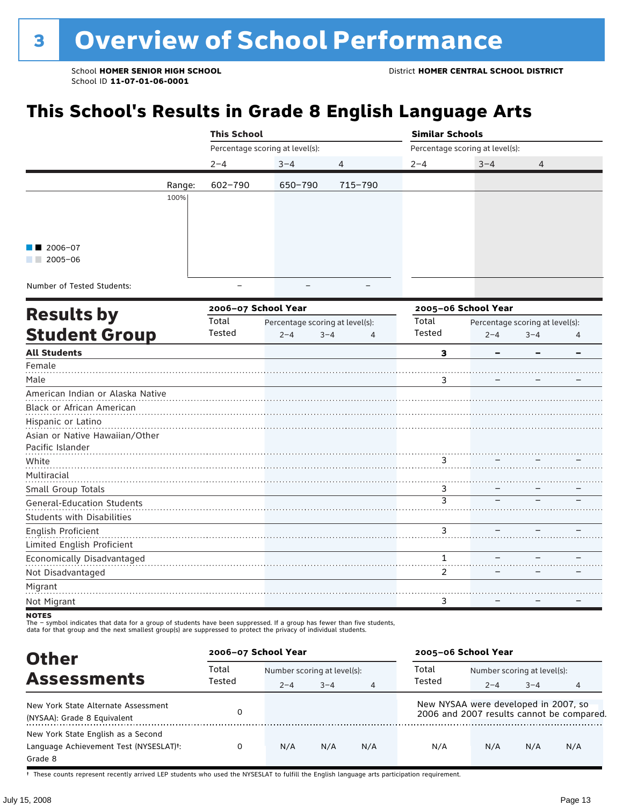## **This School's Results in Grade 8 English Language Arts**

|                        |        | <b>This School</b>              |         |                |                                 | <b>Similar Schools</b> |                |  |  |
|------------------------|--------|---------------------------------|---------|----------------|---------------------------------|------------------------|----------------|--|--|
|                        |        | Percentage scoring at level(s): |         |                | Percentage scoring at level(s): |                        |                |  |  |
|                        |        | $2 - 4$                         | $3 - 4$ | $\overline{4}$ | $2 - 4$                         | $3 - 4$                | $\overline{4}$ |  |  |
|                        | Range: | 602-790                         | 650-790 | 715-790        |                                 |                        |                |  |  |
|                        | 100%   |                                 |         |                |                                 |                        |                |  |  |
|                        |        |                                 |         |                |                                 |                        |                |  |  |
|                        |        |                                 |         |                |                                 |                        |                |  |  |
| $\blacksquare$ 2006-07 |        |                                 |         |                |                                 |                        |                |  |  |
| 2005-06                |        |                                 |         |                |                                 |                        |                |  |  |
|                        |        |                                 |         |                |                                 |                        |                |  |  |

Number of Tested Students:

|                                   |        | 2006-07 School Year |                                 |   | 2005-06 School Year |                                 |         |   |
|-----------------------------------|--------|---------------------|---------------------------------|---|---------------------|---------------------------------|---------|---|
| <b>Results by</b>                 | Total  |                     | Percentage scoring at level(s): |   | Total               | Percentage scoring at level(s): |         |   |
| <b>Student Group</b>              | Tested | $2 - 4$             | $3 - 4$                         | 4 | Tested              | $2 - 4$                         | $3 - 4$ | 4 |
| <b>All Students</b>               |        |                     |                                 |   | з                   |                                 |         |   |
| Female                            |        |                     |                                 |   |                     |                                 |         |   |
| Male                              |        |                     |                                 |   | 3                   |                                 |         |   |
| American Indian or Alaska Native  |        |                     |                                 |   |                     |                                 |         |   |
| <b>Black or African American</b>  |        |                     |                                 |   |                     |                                 |         |   |
| Hispanic or Latino                |        |                     |                                 |   |                     |                                 |         |   |
| Asian or Native Hawaiian/Other    |        |                     |                                 |   |                     |                                 |         |   |
| Pacific Islander                  |        |                     |                                 |   |                     |                                 |         |   |
| White                             |        |                     |                                 |   | 3                   |                                 |         |   |
| Multiracial                       |        |                     |                                 |   |                     |                                 |         |   |
| Small Group Totals                |        |                     |                                 |   | 3                   |                                 |         |   |
| General-Education Students        |        |                     |                                 |   | 3                   |                                 |         |   |
| <b>Students with Disabilities</b> |        |                     |                                 |   |                     |                                 |         |   |
| English Proficient                |        |                     |                                 |   | 3                   |                                 |         |   |
| Limited English Proficient        |        |                     |                                 |   |                     |                                 |         |   |
| Economically Disadvantaged        |        |                     |                                 |   |                     |                                 |         |   |
| Not Disadvantaged                 |        |                     |                                 |   | 2                   |                                 |         |   |
| Migrant                           |        |                     |                                 |   |                     |                                 |         |   |
| Not Migrant                       |        |                     |                                 |   | 3                   |                                 |         |   |
| $\cdots$                          |        |                     |                                 |   |                     |                                 |         |   |

NOTES<br>The – symbol indicates that data for a group of students have been suppressed. If a group has fewer than five students,<br>data for that group and the next smallest group(s) are suppressed to protect the privacy of indi

| <b>Other</b>                                                                                         | 2006-07 School Year |         |                             |                | 2005-06 School Year                  |                             |         |                                           |
|------------------------------------------------------------------------------------------------------|---------------------|---------|-----------------------------|----------------|--------------------------------------|-----------------------------|---------|-------------------------------------------|
|                                                                                                      | Total               |         | Number scoring at level(s): |                |                                      | Number scoring at level(s): |         |                                           |
| <b>Assessments</b>                                                                                   | Tested              | $2 - 4$ | $3 - 4$                     | $\overline{4}$ | Tested                               | $2 - 4$                     | $3 - 4$ | 4                                         |
| New York State Alternate Assessment<br>(NYSAA): Grade 8 Equivalent                                   |                     |         |                             |                | New NYSAA were developed in 2007, so |                             |         | 2006 and 2007 results cannot be compared. |
| New York State English as a Second<br>Language Achievement Test (NYSESLAT) <sup>+</sup> :<br>Grade 8 | 0                   | N/A     | N/A                         | N/A            | N/A                                  | N/A                         | N/A     | N/A                                       |

† These counts represent recently arrived LEP students who used the NYSESLAT to fulfill the English language arts participation requirement.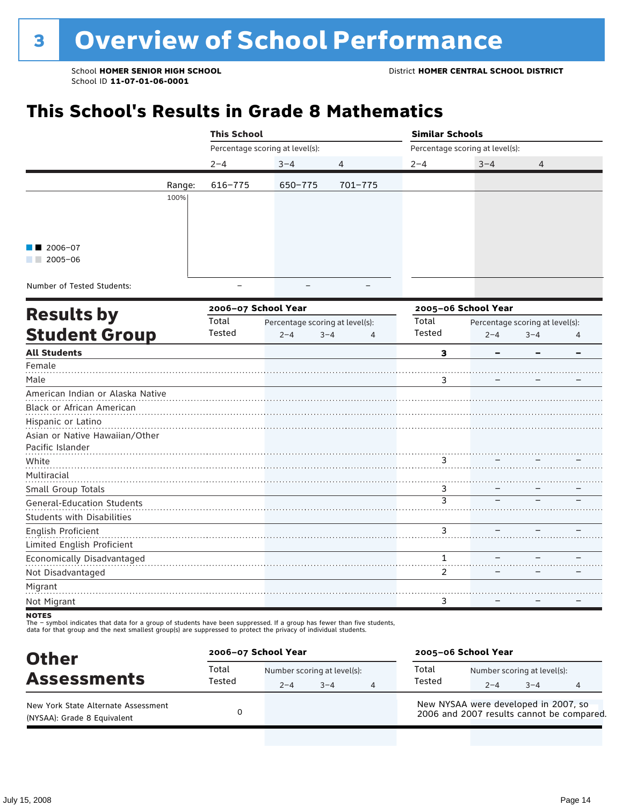## **This School's Results in Grade 8 Mathematics**

|                                                                                                                                     |        | <b>This School</b>              |         |                |                                 | <b>Similar Schools</b> |                |  |  |  |
|-------------------------------------------------------------------------------------------------------------------------------------|--------|---------------------------------|---------|----------------|---------------------------------|------------------------|----------------|--|--|--|
|                                                                                                                                     |        | Percentage scoring at level(s): |         |                | Percentage scoring at level(s): |                        |                |  |  |  |
|                                                                                                                                     |        | $2 - 4$                         | $3 - 4$ | $\overline{4}$ | $2 - 4$                         | $3 - 4$                | $\overline{4}$ |  |  |  |
|                                                                                                                                     | Range: | 616-775                         | 650-775 | 701-775        |                                 |                        |                |  |  |  |
|                                                                                                                                     | 100%   |                                 |         |                |                                 |                        |                |  |  |  |
|                                                                                                                                     |        |                                 |         |                |                                 |                        |                |  |  |  |
|                                                                                                                                     |        |                                 |         |                |                                 |                        |                |  |  |  |
| $\blacksquare$ 2006-07                                                                                                              |        |                                 |         |                |                                 |                        |                |  |  |  |
| 2005-06                                                                                                                             |        |                                 |         |                |                                 |                        |                |  |  |  |
| $\mathbf{r}$ and $\mathbf{r}$ and $\mathbf{r}$ and $\mathbf{r}$ and $\mathbf{r}$ and $\mathbf{r}$ and $\mathbf{r}$ and $\mathbf{r}$ |        |                                 |         |                |                                 |                        |                |  |  |  |

Number of Tested Students:

|                                   |        | 2006-07 School Year |                                 |   | 2005-06 School Year |                                 |         |   |
|-----------------------------------|--------|---------------------|---------------------------------|---|---------------------|---------------------------------|---------|---|
| <b>Results by</b>                 | Total  |                     | Percentage scoring at level(s): |   | Total               | Percentage scoring at level(s): |         |   |
| <b>Student Group</b>              | Tested | $2 - 4$             | $3 - 4$                         | 4 | Tested              | $2 - 4$                         | $3 - 4$ | 4 |
| <b>All Students</b>               |        |                     |                                 |   | 3                   |                                 |         |   |
| Female                            |        |                     |                                 |   |                     |                                 |         |   |
| Male                              |        |                     |                                 |   | 3                   |                                 |         |   |
| American Indian or Alaska Native  |        |                     |                                 |   |                     |                                 |         |   |
| <b>Black or African American</b>  |        |                     |                                 |   |                     |                                 |         |   |
| Hispanic or Latino                |        |                     |                                 |   |                     |                                 |         |   |
| Asian or Native Hawaiian/Other    |        |                     |                                 |   |                     |                                 |         |   |
| Pacific Islander                  |        |                     |                                 |   |                     |                                 |         |   |
| White                             |        |                     |                                 |   | 3                   |                                 |         |   |
| Multiracial                       |        |                     |                                 |   |                     |                                 |         |   |
| Small Group Totals                |        |                     |                                 |   | 3                   |                                 |         |   |
| General-Education Students        |        |                     |                                 |   | $\overline{3}$      |                                 |         |   |
| <b>Students with Disabilities</b> |        |                     |                                 |   |                     |                                 |         |   |
| English Proficient                |        |                     |                                 |   | 3                   |                                 |         |   |
| Limited English Proficient        |        |                     |                                 |   |                     |                                 |         |   |
| Economically Disadvantaged        |        |                     |                                 |   |                     |                                 |         |   |
| Not Disadvantaged                 |        |                     |                                 |   | 2                   |                                 |         |   |
| Migrant                           |        |                     |                                 |   |                     |                                 |         |   |
| Not Migrant                       |        |                     |                                 |   | 3                   |                                 |         |   |
|                                   |        |                     |                                 |   |                     |                                 |         |   |

NOTES<br>The – symbol indicates that data for a group of students have been suppressed. If a group has fewer than five students,<br>data for that group and the next smallest group(s) are suppressed to protect the privacy of indi

| <b>Other</b>                                                       | 2006-07 School Year |                                        |         |   | 2005-06 School Year                  |                                        |         |                                           |
|--------------------------------------------------------------------|---------------------|----------------------------------------|---------|---|--------------------------------------|----------------------------------------|---------|-------------------------------------------|
| <b>Assessments</b>                                                 | Total<br>Tested     | Number scoring at level(s):<br>$2 - 4$ | $3 - 4$ | 4 | Total<br>Tested                      | Number scoring at level(s):<br>$2 - 4$ | $3 - 4$ |                                           |
| New York State Alternate Assessment<br>(NYSAA): Grade 8 Equivalent |                     |                                        |         |   | New NYSAA were developed in 2007, so |                                        |         | 2006 and 2007 results cannot be compared. |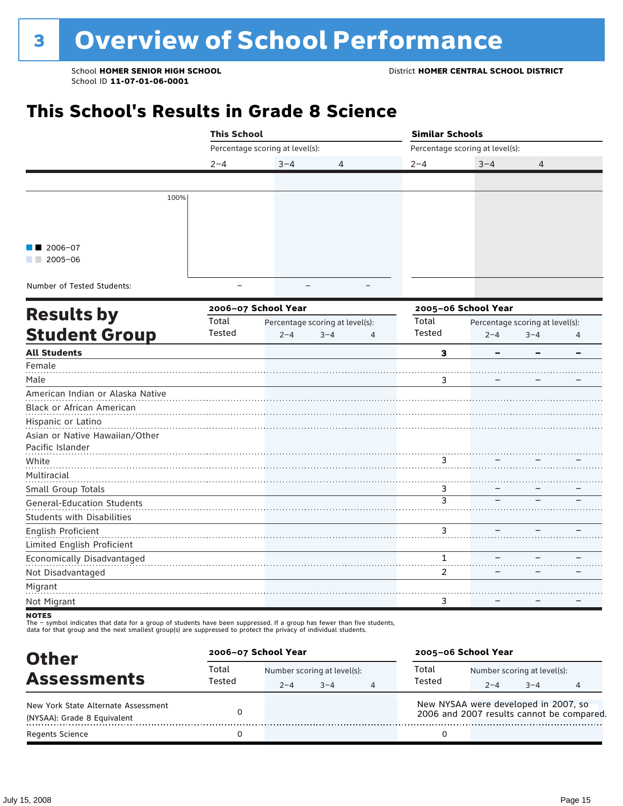## **This School's Results in Grade 8 Science**

|                        |      | <b>This School</b>              |         |                | <b>Similar Schools</b>          |         |   |  |  |
|------------------------|------|---------------------------------|---------|----------------|---------------------------------|---------|---|--|--|
|                        |      | Percentage scoring at level(s): |         |                | Percentage scoring at level(s): |         |   |  |  |
|                        |      | $2 - 4$                         | $3 - 4$ | $\overline{4}$ | $2 - 4$                         | $3 - 4$ | 4 |  |  |
|                        |      |                                 |         |                |                                 |         |   |  |  |
|                        | 100% |                                 |         |                |                                 |         |   |  |  |
| $\blacksquare$ 2006-07 |      |                                 |         |                |                                 |         |   |  |  |
| 2005-06                |      |                                 |         |                |                                 |         |   |  |  |

Number of Tested Students: The example of Tested Students:

|                                   |        | 2006-07 School Year |                                 |   | 2005-06 School Year |                                 |         |   |
|-----------------------------------|--------|---------------------|---------------------------------|---|---------------------|---------------------------------|---------|---|
| <b>Results by</b>                 | Total  |                     | Percentage scoring at level(s): |   | Total               | Percentage scoring at level(s): |         |   |
| <b>Student Group</b>              | Tested | $2 - 4$             | $3 - 4$                         | 4 | Tested              | $2 - 4$                         | $3 - 4$ | 4 |
| <b>All Students</b>               |        |                     |                                 |   | 3                   |                                 |         |   |
| Female                            |        |                     |                                 |   |                     |                                 |         |   |
| Male                              |        |                     |                                 |   | 3                   |                                 |         |   |
| American Indian or Alaska Native  |        |                     |                                 |   |                     |                                 |         |   |
| <b>Black or African American</b>  |        |                     |                                 |   |                     |                                 |         |   |
| Hispanic or Latino                |        |                     |                                 |   |                     |                                 |         |   |
| Asian or Native Hawaiian/Other    |        |                     |                                 |   |                     |                                 |         |   |
| Pacific Islander                  |        |                     |                                 |   |                     |                                 |         |   |
| White                             |        |                     |                                 |   | 3                   |                                 |         |   |
| Multiracial                       |        |                     |                                 |   |                     |                                 |         |   |
| Small Group Totals                |        |                     |                                 |   | 3                   |                                 |         |   |
| General-Education Students        |        |                     |                                 |   | $\overline{3}$      |                                 |         |   |
| <b>Students with Disabilities</b> |        |                     |                                 |   |                     |                                 |         |   |
| English Proficient                |        |                     |                                 |   | 3                   |                                 |         |   |
| Limited English Proficient        |        |                     |                                 |   |                     |                                 |         |   |
| Economically Disadvantaged        |        |                     |                                 |   |                     |                                 |         |   |
| Not Disadvantaged                 |        |                     |                                 |   | 2                   |                                 |         |   |
| Migrant                           |        |                     |                                 |   |                     |                                 |         |   |
| Not Migrant                       |        |                     |                                 |   | 3                   |                                 |         |   |
|                                   |        |                     |                                 |   |                     |                                 |         |   |

NOTES<br>The – symbol indicates that data for a group of students have been suppressed. If a group has fewer than five students,<br>data for that group and the next smallest group(s) are suppressed to protect the privacy of indi

| <b>Other</b>                                                       |                 | 2006-07 School Year |                                        |   |                                                                                   | 2005-06 School Year                    |         |  |  |  |
|--------------------------------------------------------------------|-----------------|---------------------|----------------------------------------|---|-----------------------------------------------------------------------------------|----------------------------------------|---------|--|--|--|
| <b>Assessments</b>                                                 | Total<br>Tested | $2 - 4$             | Number scoring at level(s):<br>$3 - 4$ | 4 | Total<br>Tested                                                                   | Number scoring at level(s):<br>$2 - 4$ | $3 - 4$ |  |  |  |
| New York State Alternate Assessment<br>(NYSAA): Grade 8 Equivalent |                 |                     |                                        |   | New NYSAA were developed in 2007, so<br>2006 and 2007 results cannot be compared. |                                        |         |  |  |  |
| <b>Regents Science</b>                                             |                 |                     |                                        |   |                                                                                   |                                        |         |  |  |  |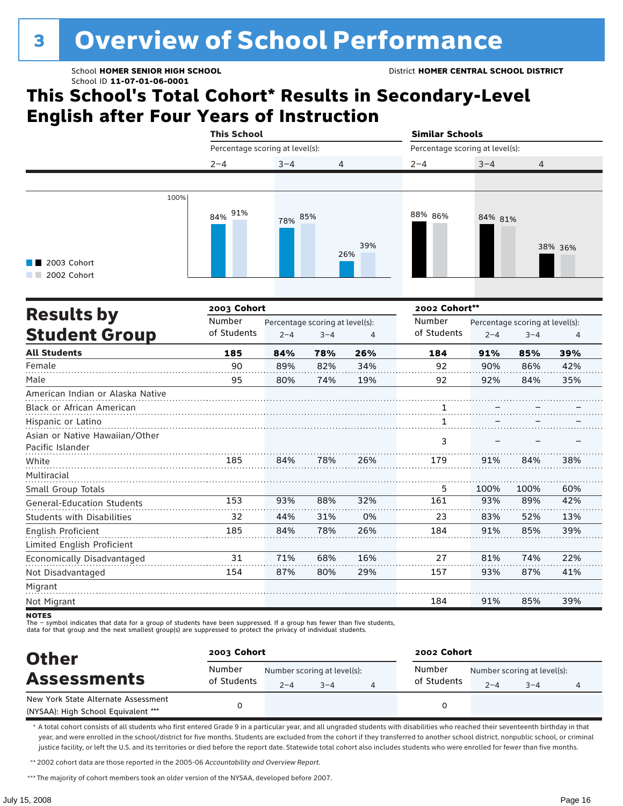# <sup>3</sup> Overview of School Performance

## **This School's Total Cohort\* Results in Secondary-Level English after Four Years of Instruction**

|                                           |      | <b>This School</b>              |         |                | <b>Similar Schools</b>          |         |                |  |
|-------------------------------------------|------|---------------------------------|---------|----------------|---------------------------------|---------|----------------|--|
|                                           |      | Percentage scoring at level(s): |         |                | Percentage scoring at level(s): |         |                |  |
|                                           |      | $2 - 4$                         | $3 - 4$ | $\overline{4}$ | $2 - 4$                         | $3 - 4$ | $\overline{4}$ |  |
|                                           |      |                                 |         |                |                                 |         |                |  |
| $\blacksquare$ 2003 Cohort<br>2002 Cohort | 100% | 91%<br>84%                      | 78% 85% | 39%<br>26%     | 88% 86%                         | 84% 81% | 38% 36%        |  |

|                                   | 2003 Cohort<br>2002 Cohort** |                                 |         |     |             |                                 |         |     |  |
|-----------------------------------|------------------------------|---------------------------------|---------|-----|-------------|---------------------------------|---------|-----|--|
| <b>Results by</b>                 | Number                       | Percentage scoring at level(s): |         |     | Number      | Percentage scoring at level(s): |         |     |  |
| <b>Student Group</b>              | of Students                  | $2 - 4$                         | $3 - 4$ | 4   | of Students | $2 - 4$                         | $3 - 4$ | 4   |  |
| <b>All Students</b>               | 185                          | 84%                             | 78%     | 26% | 184         | 91%                             | 85%     | 39% |  |
| Female                            | 90                           | 89%                             | 82%     | 34% | 92          | 90%                             | 86%     | 42% |  |
| Male                              | 95                           | 80%                             | 74%     | 19% | 92          | 92%                             | 84%     | 35% |  |
| American Indian or Alaska Native  |                              |                                 |         |     |             |                                 |         |     |  |
| <b>Black or African American</b>  |                              |                                 |         |     |             |                                 |         |     |  |
| Hispanic or Latino                |                              |                                 |         |     |             |                                 |         |     |  |
| Asian or Native Hawaiian/Other    |                              |                                 |         |     | 3           |                                 |         |     |  |
| Pacific Islander                  |                              |                                 |         |     |             |                                 |         |     |  |
| White                             | 185                          | 84%                             | 78%     | 26% | 179         | 91%                             | 84%     | 38% |  |
| Multiracial                       |                              |                                 |         |     |             |                                 |         |     |  |
| Small Group Totals                |                              |                                 |         |     | 5           | 100%                            | 100%    | 60% |  |
| <b>General-Education Students</b> | 153                          | 93%                             | 88%     | 32% | 161         | 93%                             | 89%     | 42% |  |
| <b>Students with Disabilities</b> | 32                           | 44%                             | 31%     | 0%  | 23          | 83%                             | 52%     | 13% |  |
| English Proficient                | 185                          | 84%                             | 78%     | 26% | 184         | 91%                             | 85%     | 39% |  |
| Limited English Proficient        |                              |                                 |         |     |             |                                 |         |     |  |
| Economically Disadvantaged        | 31                           | 71%                             | 68%     | 16% | 27          | 81%                             | 74%     | 22% |  |
| Not Disadvantaged                 | 154                          | 87%                             | 80%     | 29% | 157         | 93%                             | 87%     | 41% |  |
| Migrant                           |                              |                                 |         |     |             |                                 |         |     |  |
| Not Migrant                       |                              |                                 |         |     | 184         | 91%                             | 85%     | 39% |  |

**NOTES** 

The – symbol indicates that data for a group of students have been suppressed. If a group has fewer than five students,<br>data for that group and the next smallest group(s) are suppressed to protect the privacy of individual

| <b>Other</b>                                                               | 2003 Cohort           |         |                                        | 2002 Cohort                                                     |         |   |  |  |
|----------------------------------------------------------------------------|-----------------------|---------|----------------------------------------|-----------------------------------------------------------------|---------|---|--|--|
| <b>Assessments</b>                                                         | Number<br>of Students | $2 - 4$ | Number scoring at level(s):<br>$3 - 4$ | Number<br>Number scoring at level(s):<br>of Students<br>$2 - 4$ | $3 - 4$ | 4 |  |  |
| New York State Alternate Assessment<br>(NYSAA): High School Equivalent *** |                       |         |                                        |                                                                 |         |   |  |  |

\* A total cohort consists of all students who first entered Grade 9 in a particular year, and all ungraded students with disabilities who reached their seventeenth birthday in that year, and were enrolled in the school/district for five months. Students are excluded from the cohort if they transferred to another school district, nonpublic school, or criminal justice facility, or left the U.S. and its territories or died before the report date. Statewide total cohort also includes students who were enrolled for fewer than five months.

\*\*2002 cohort data are those reported in the 2005-06 *Accountability and Overview Report*.

\*\*\* The majority of cohort members took an older version of the NYSAA, developed before 2007.